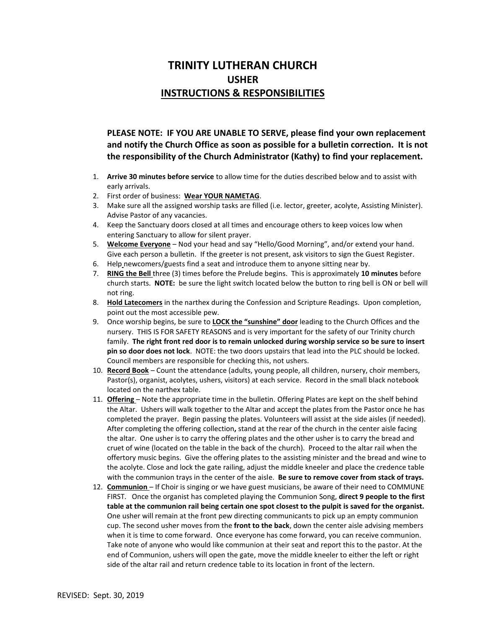## **TRINITY LUTHERAN CHURCH USHER INSTRUCTIONS & RESPONSIBILITIES**

**PLEASE NOTE: IF YOU ARE UNABLE TO SERVE, please find your own replacement and notify the Church Office as soon as possible for a bulletin correction. It is not the responsibility of the Church Administrator (Kathy) to find your replacement.**

- 1. **Arrive 30 minutes before service** to allow time for the duties described below and to assist with early arrivals.
- 2. First order of business: **Wear YOUR NAMETAG**.
- 3. Make sure all the assigned worship tasks are filled (i.e. lector, greeter, acolyte, Assisting Minister). Advise Pastor of any vacancies.
- 4. Keep the Sanctuary doors closed at all times and encourage others to keep voices low when entering Sanctuary to allow for silent prayer.
- 5. **Welcome Everyone** Nod your head and say "Hello/Good Morning", and/or extend your hand. Give each person a bulletin. If the greeter is not present, ask visitors to sign the Guest Register.
- 6. Help newcomers/guests find a seat and introduce them to anyone sitting near by.
- 7. **RING the Bell** three (3) times before the Prelude begins. This is approximately **10 minutes** before church starts. **NOTE:** be sure the light switch located below the button to ring bell is ON or bell will not ring.
- 8. **Hold Latecomers** in the narthex during the Confession and Scripture Readings. Upon completion, point out the most accessible pew.
- 9. Once worship begins, be sure to **LOCK the "sunshine" door** leading to the Church Offices and the nursery. THIS IS FOR SAFETY REASONS and is very important for the safety of our Trinity church family. **The right front red door is to remain unlocked during worship service so be sure to insert pin so door does not lock**. NOTE: the two doors upstairs that lead into the PLC should be locked. Council members are responsible for checking this, not ushers.
- 10. **Record Book** Count the attendance (adults, young people, all children, nursery, choir members, Pastor(s), organist, acolytes, ushers, visitors) at each service. Record in the small black notebook located on the narthex table.
- 11. **Offering**  Note the appropriate time in the bulletin. Offering Plates are kept on the shelf behind the Altar. Ushers will walk together to the Altar and accept the plates from the Pastor once he has completed the prayer. Begin passing the plates. Volunteers will assist at the side aisles (if needed). After completing the offering collection**,** stand at the rear of the church in the center aisle facing the altar. One usher is to carry the offering plates and the other usher is to carry the bread and cruet of wine (located on the table in the back of the church). Proceed to the altar rail when the offertory music begins. Give the offering plates to the assisting minister and the bread and wine to the acolyte. Close and lock the gate railing, adjust the middle kneeler and place the credence table with the communion trays in the center of the aisle. **Be sure to remove cover from stack of trays.**
- 12. **Communion**  If Choir is singing or we have guest musicians, be aware of their need to COMMUNE FIRST. Once the organist has completed playing the Communion Song, **direct 9 people to the first table at the communion rail being certain one spot closest to the pulpit is saved for the organist.** One usher will remain at the front pew directing communicants to pick up an empty communion cup. The second usher moves from the **front to the back**, down the center aisle advising members when it is time to come forward. Once everyone has come forward, you can receive communion. Take note of anyone who would like communion at their seat and report this to the pastor. At the end of Communion, ushers will open the gate, move the middle kneeler to either the left or right side of the altar rail and return credence table to its location in front of the lectern.